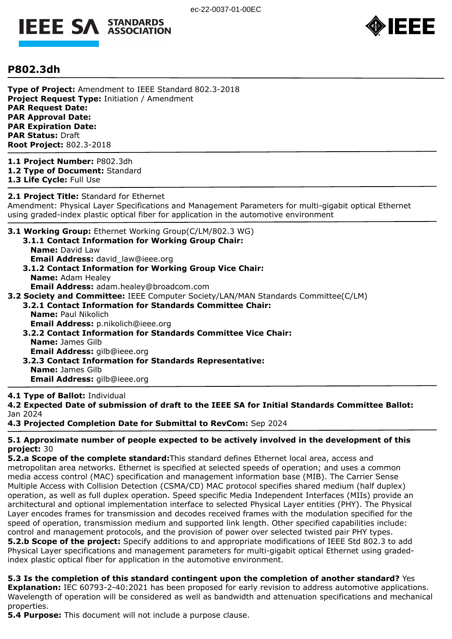



## **P802.3dh**

**Type of Project:** Amendment to IEEE Standard 802.3-2018 **Project Request Type:** Initiation / Amendment **PAR Request Date: PAR Approval Date: PAR Expiration Date: PAR Status:** Draft **Root Project:** 802.3-2018

**1.1 Project Number:** P802.3dh **1.2 Type of Document:** Standard **1.3 Life Cycle:** Full Use

**2.1 Project Title:** Standard for Ethernet Amendment: Physical Layer Specifications and Management Parameters for multi-gigabit optical Ethernet using graded-index plastic optical fiber for application in the automotive environment

**3.1 Working Group:** Ethernet Working Group(C/LM/802.3 WG) **3.1.1 Contact Information for Working Group Chair:** 

- **Name:** David Law **Email Address:** david law@ieee.org
- **3.1.2 Contact Information for Working Group Vice Chair: Name:** Adam Healey **Email Address:** adam.healey@broadcom.com
- **3.2 Society and Committee:** IEEE Computer Society/LAN/MAN Standards Committee(C/LM)
	- **3.2.1 Contact Information for Standards Committee Chair: Name:** Paul Nikolich **Email Address:** p.nikolich@ieee.org
	- **3.2.2 Contact Information for Standards Committee Vice Chair: Name:** James Gilb **Email Address:** gilb@ieee.org
	- **3.2.3 Contact Information for Standards Representative: Name:** James Gilb **Email Address:** gilb@ieee.org

#### **4.1 Type of Ballot:** Individual

**4.2 Expected Date of submission of draft to the IEEE SA for Initial Standards Committee Ballot:**  Jan 2024

**4.3 Projected Completion Date for Submittal to RevCom:** Sep 2024

#### **5.1 Approximate number of people expected to be actively involved in the development of this project:** 30

**5.2.a Scope of the complete standard:**This standard defines Ethernet local area, access and metropolitan area networks. Ethernet is specified at selected speeds of operation; and uses a common media access control (MAC) specification and management information base (MIB). The Carrier Sense Multiple Access with Collision Detection (CSMA/CD) MAC protocol specifies shared medium (half duplex) operation, as well as full duplex operation. Speed specific Media Independent Interfaces (MIIs) provide an architectural and optional implementation interface to selected Physical Layer entities (PHY). The Physical Layer encodes frames for transmission and decodes received frames with the modulation specified for the speed of operation, transmission medium and supported link length. Other specified capabilities include: control and management protocols, and the provision of power over selected twisted pair PHY types. **5.2.b Scope of the project:** Specify additions to and appropriate modifications of IEEE Std 802.3 to add Physical Layer specifications and management parameters for multi-gigabit optical Ethernet using gradedindex plastic optical fiber for application in the automotive environment.

**5.3 Is the completion of this standard contingent upon the completion of another standard?** Yes **Explanation:** IEC 60793-2-40:2021 has been proposed for early revision to address automotive applications. Wavelength of operation will be considered as well as bandwidth and attenuation specifications and mechanical properties.

**5.4 Purpose:** This document will not include a purpose clause.